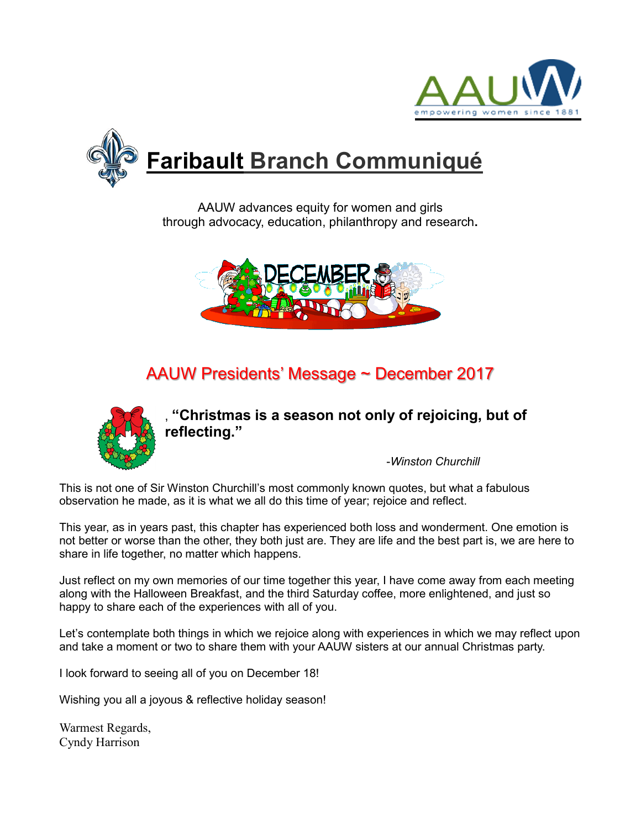



AAUW advances equity for women and girls through advocacy, education, philanthropy and research**.**



# AAUW Presidents' Message ~ December 2017



, **"Christmas is a season not only of rejoicing, but of reflecting."**

-*Winston Churchill*

This is not one of Sir Winston Churchill's most commonly known quotes, but what a fabulous observation he made, as it is what we all do this time of year; rejoice and reflect.

This year, as in years past, this chapter has experienced both loss and wonderment. One emotion is not better or worse than the other, they both just are. They are life and the best part is, we are here to share in life together, no matter which happens.

Just reflect on my own memories of our time together this year, I have come away from each meeting along with the Halloween Breakfast, and the third Saturday coffee, more enlightened, and just so happy to share each of the experiences with all of you.

Let's contemplate both things in which we rejoice along with experiences in which we may reflect upon and take a moment or two to share them with your AAUW sisters at our annual Christmas party.

I look forward to seeing all of you on December 18!

Wishing you all a joyous & reflective holiday season!

Warmest Regards, Cyndy Harrison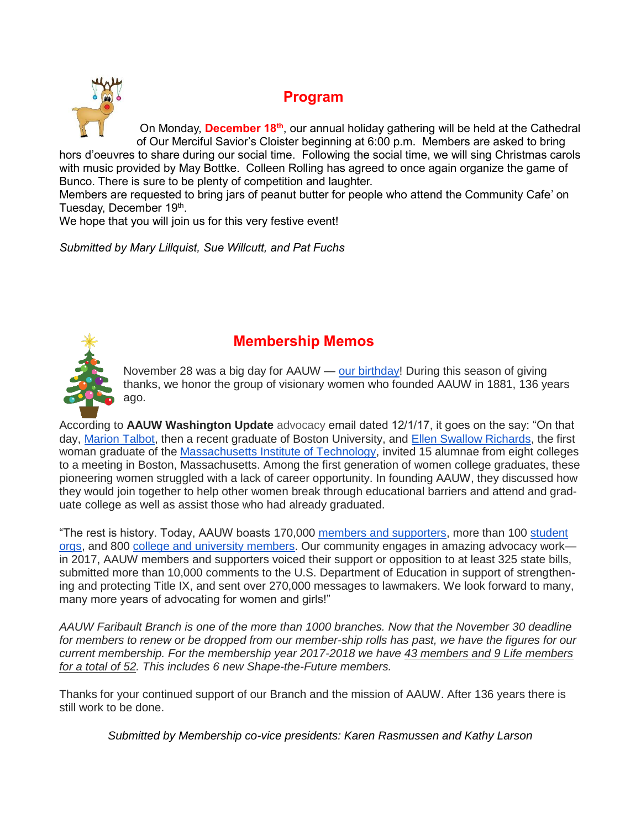

### **Program**

On Monday, **December 18th**, our annual holiday gathering will be held at the Cathedral of Our Merciful Savior's Cloister beginning at 6:00 p.m. Members are asked to bring hors d'oeuvres to share during our social time. Following the social time, we will sing Christmas carols with music provided by May Bottke. Colleen Rolling has agreed to once again organize the game of Bunco. There is sure to be plenty of competition and laughter.

Members are requested to bring jars of peanut butter for people who attend the Community Cafe' on Tuesday, December 19<sup>th</sup>.

We hope that you will join us for this very festive event!

*Submitted by Mary Lillquist, Sue Willcutt, and Pat Fuchs*



## **Membership Memos**

November 28 was a big day for AAUW — [our birthday!](http://salsa4.salsalabs.com/dia/track.jsp?v=2&c=KYAaCKtXQYQQ%2B98VZSp9fAEs6nnFhMmS) During this season of giving thanks, we honor the group of visionary women who founded AAUW in 1881, 136 years ago.

According to **AAUW Washington Update** advocacy email dated 12/1/17, it goes on the say: "On that day, [Marion Talbot,](http://salsa4.salsalabs.com/dia/track.jsp?v=2&c=gjMtL57J8MaEJCSrKqI9OAEs6nnFhMmS) then a recent graduate of Boston University, and [Ellen Swallow Richards,](http://salsa4.salsalabs.com/dia/track.jsp?v=2&c=O2lUfXBLOGUMo9XM1iDaqQEs6nnFhMmS) the first woman graduate of the [Massachusetts Institute of Technology,](http://salsa4.salsalabs.com/dia/track.jsp?v=2&c=nC%2BNzLEjyRdIZvK5%2BRhcvwEs6nnFhMmS) invited 15 alumnae from eight colleges to a meeting in Boston, Massachusetts. Among the first generation of women college graduates, these pioneering women struggled with a lack of career opportunity. In founding AAUW, they discussed how they would join together to help other women break through educational barriers and attend and graduate college as well as assist those who had already graduated.

"The rest is history. Today, AAUW boasts 170,000 [members and supporters,](http://salsa4.salsalabs.com/dia/track.jsp?v=2&c=bI%2BhMDKvDGN%2FGYDUw1zwGQEs6nnFhMmS) more than 100 [student](http://salsa4.salsalabs.com/dia/track.jsp?v=2&c=W4LQLBSWW0Wj5wV6NFD02QEs6nnFhMmS)  [orgs,](http://salsa4.salsalabs.com/dia/track.jsp?v=2&c=W4LQLBSWW0Wj5wV6NFD02QEs6nnFhMmS) and 800 [college and university members.](http://salsa4.salsalabs.com/dia/track.jsp?v=2&c=fAUARNtuc%2Fh3usQHSWQXigEs6nnFhMmS) Our community engages in amazing advocacy work in 2017, AAUW members and supporters voiced their support or opposition to at least 325 state bills, submitted more than 10,000 comments to the U.S. Department of Education in support of strengthening and protecting Title IX, and sent over 270,000 messages to lawmakers. We look forward to many, many more years of advocating for women and girls!"

*AAUW Faribault Branch is one of the more than 1000 branches. Now that the November 30 deadline for members to renew or be dropped from our member-ship rolls has past, we have the figures for our current membership. For the membership year 2017-2018 we have 43 members and 9 Life members for a total of 52. This includes 6 new Shape-the-Future members.*

Thanks for your continued support of our Branch and the mission of AAUW. After 136 years there is still work to be done.

*Submitted by Membership co-vice presidents: Karen Rasmussen and Kathy Larson*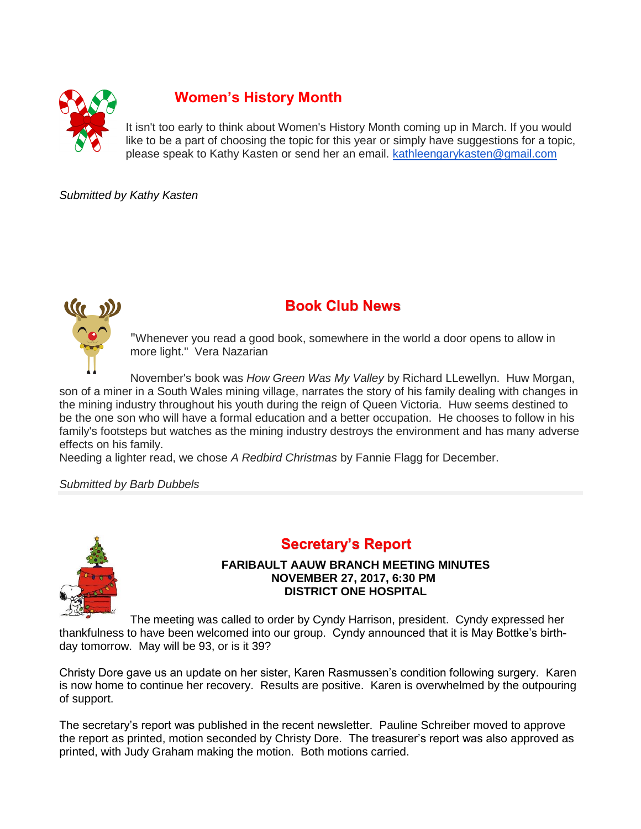

# **Women's History Month**

It isn't too early to think about Women's History Month coming up in March. If you would like to be a part of choosing the topic for this year or simply have suggestions for a topic, please speak to Kathy Kasten or send her an email. [kathleengarykasten@gmail.com](mailto:kathleengarykasten@gmail.com)

*Submitted by Kathy Kasten*



# **Book Club News**

"Whenever you read a good book, somewhere in the world a door opens to allow in more light." Vera Nazarian

November's book was *How Green Was My Valley* by Richard LLewellyn. Huw Morgan, son of a miner in a South Wales mining village, narrates the story of his family dealing with changes in the mining industry throughout his youth during the reign of Queen Victoria. Huw seems destined to be the one son who will have a formal education and a better occupation. He chooses to follow in his family's footsteps but watches as the mining industry destroys the environment and has many adverse effects on his family.

Needing a lighter read, we chose *A Redbird Christmas* by Fannie Flagg for December.

*Submitted by Barb Dubbels*



#### **Secretary's Report**

#### **FARIBAULT AAUW BRANCH MEETING MINUTES NOVEMBER 27, 2017, 6:30 PM DISTRICT ONE HOSPITAL**

The meeting was called to order by Cyndy Harrison, president. Cyndy expressed her thankfulness to have been welcomed into our group. Cyndy announced that it is May Bottke's birthday tomorrow. May will be 93, or is it 39?

Christy Dore gave us an update on her sister, Karen Rasmussen's condition following surgery. Karen is now home to continue her recovery. Results are positive. Karen is overwhelmed by the outpouring of support.

The secretary's report was published in the recent newsletter. Pauline Schreiber moved to approve the report as printed, motion seconded by Christy Dore. The treasurer's report was also approved as printed, with Judy Graham making the motion. Both motions carried.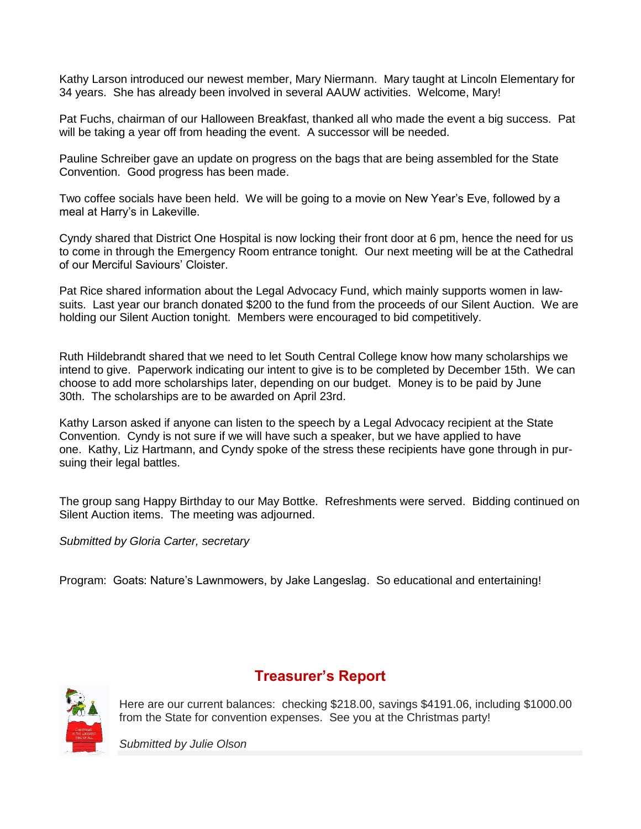Kathy Larson introduced our newest member, Mary Niermann. Mary taught at Lincoln Elementary for 34 years. She has already been involved in several AAUW activities. Welcome, Mary!

Pat Fuchs, chairman of our Halloween Breakfast, thanked all who made the event a big success. Pat will be taking a year off from heading the event. A successor will be needed.

Pauline Schreiber gave an update on progress on the bags that are being assembled for the State Convention. Good progress has been made.

Two coffee socials have been held. We will be going to a movie on New Year's Eve, followed by a meal at Harry's in Lakeville.

Cyndy shared that District One Hospital is now locking their front door at 6 pm, hence the need for us to come in through the Emergency Room entrance tonight. Our next meeting will be at the Cathedral of our Merciful Saviours' Cloister.

Pat Rice shared information about the Legal Advocacy Fund, which mainly supports women in lawsuits. Last year our branch donated \$200 to the fund from the proceeds of our Silent Auction. We are holding our Silent Auction tonight. Members were encouraged to bid competitively.

Ruth Hildebrandt shared that we need to let South Central College know how many scholarships we intend to give. Paperwork indicating our intent to give is to be completed by December 15th. We can choose to add more scholarships later, depending on our budget. Money is to be paid by June 30th. The scholarships are to be awarded on April 23rd.

Kathy Larson asked if anyone can listen to the speech by a Legal Advocacy recipient at the State Convention. Cyndy is not sure if we will have such a speaker, but we have applied to have one. Kathy, Liz Hartmann, and Cyndy spoke of the stress these recipients have gone through in pursuing their legal battles.

The group sang Happy Birthday to our May Bottke. Refreshments were served. Bidding continued on Silent Auction items. The meeting was adjourned.

*Submitted by Gloria Carter, secretary*

Program: Goats: Nature's Lawnmowers, by Jake Langeslag. So educational and entertaining!



#### **Treasurer's Report**

Here are our current balances: checking \$218.00, savings \$4191.06, including \$1000.00 from the State for convention expenses. See you at the Christmas party!

*Submitted by Julie Olson*